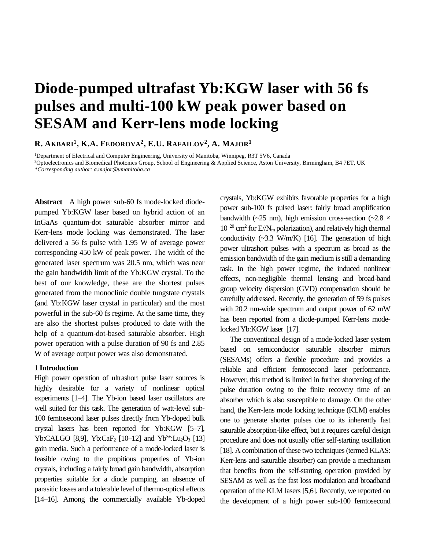# **Diode-pumped ultrafast Yb:KGW laser with 56 fs pulses and multi-100 kW peak power based on SESAM and Kerr-lens mode locking**

## **R. AKBARI<sup>1</sup> , K.A. FEDOROVA<sup>2</sup> , E.U. RAFAILOV<sup>2</sup> , A. MAJOR<sup>1</sup>**

<sup>1</sup>Department of Electrical and Computer Engineering, University of Manitoba, Winnipeg, R3T 5V6, Canada <sup>2</sup>Optoelectronics and Biomedical Photonics Group, School of Engineering & Applied Science, Aston University, Birmingham, B4 7ET, UK *\*Corresponding author: a.major@umanitoba.ca*

**Abstract** A high power sub-60 fs mode-locked diodepumped Yb:KGW laser based on hybrid action of an InGaAs quantum-dot saturable absorber mirror and Kerr-lens mode locking was demonstrated. The laser delivered a 56 fs pulse with 1.95 W of average power corresponding 450 kW of peak power. The width of the generated laser spectrum was 20.5 nm, which was near the gain bandwidth limit of the Yb:KGW crystal. To the best of our knowledge, these are the shortest pulses generated from the monoclinic double tungstate crystals (and Yb:KGW laser crystal in particular) and the most powerful in the sub-60 fs regime. At the same time, they are also the shortest pulses produced to date with the help of a quantum-dot-based saturable absorber. High power operation with a pulse duration of 90 fs and 2.85 W of average output power was also demonstrated.

#### **1 Introduction**

High power operation of ultrashort pulse laser sources is highly desirable for a variety of nonlinear optical experiments [1–4]. The Yb-ion based laser oscillators are well suited for this task. The generation of watt-level sub-100 femtosecond laser pulses directly from Yb-doped bulk crystal lasers has been reported for Yb:KGW [5–7], Yb:CALGO [8,9], Yb:CaF<sub>2</sub> [10–12] and Yb<sup>3+</sup>:Lu<sub>2</sub>O<sub>3</sub> [13] gain media. Such a performance of a mode-locked laser is feasible owing to the propitious properties of Yb-ion crystals, including a fairly broad gain bandwidth, absorption properties suitable for a diode pumping, an absence of parasitic losses and a tolerable level of thermo-optical effects [14–16]. Among the commercially available Yb-doped

crystals, Yb:KGW exhibits favorable properties for a high power sub-100 fs pulsed laser: fairly broad amplification bandwidth ( $\sim$ 25 nm), high emission cross-section ( $\sim$ 2.8  $\times$ 10−20 cm<sup>2</sup> for E//N<sup>m</sup> polarization), and relatively high thermal conductivity  $(\sim 3.3 \text{ W/m/K})$  [16]. The generation of high power ultrashort pulses with a spectrum as broad as the emission bandwidth of the gain medium is still a demanding task. In the high power regime, the induced nonlinear effects, non-negligible thermal lensing and broad-band group velocity dispersion (GVD) compensation should be carefully addressed. Recently, the generation of 59 fs pulses with 20.2 nm-wide spectrum and output power of 62 mW has been reported from a diode-pumped Kerr-lens modelocked Yb:KGW laser [17].

The conventional design of a mode-locked laser system based on semiconductor saturable absorber mirrors (SESAMs) offers a flexible procedure and provides a reliable and efficient femtosecond laser performance. However, this method is limited in further shortening of the pulse duration owing to the finite recovery time of an absorber which is also susceptible to damage. On the other hand, the Kerr-lens mode locking technique (KLM) enables one to generate shorter pulses due to its inherently fast saturable absorption-like effect, but it requires careful design procedure and does not usually offer self-starting oscillation [18]. A combination of these two techniques (termed KLAS: Kerr-lens and saturable absorber) can provide a mechanism that benefits from the self-starting operation provided by SESAM as well as the fast loss modulation and broadband operation of the KLM lasers [5,6]. Recently, we reported on the development of a high power sub-100 femtosecond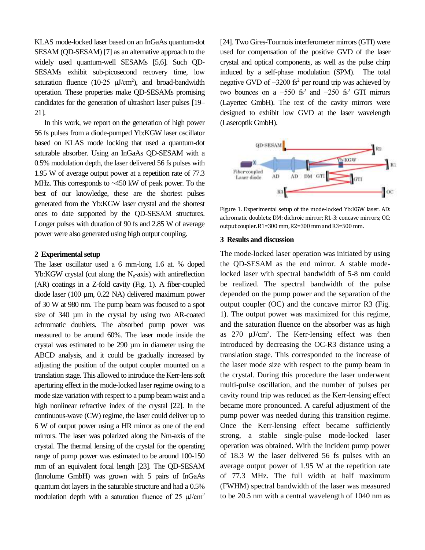KLAS mode-locked laser based on an InGaAs quantum-dot SESAM (QD-SESAM) [7] as an alternative approach to the widely used quantum-well SESAMs [5,6]. Such QD-SESAMs exhibit sub-picosecond recovery time, low saturation fluence (10-25  $\mu$ J/cm<sup>2</sup>), and broad-bandwidth operation. These properties make QD-SESAMs promising candidates for the generation of ultrashort laser pulses [19– 21].

In this work, we report on the generation of high power 56 fs pulses from a diode-pumped Yb:KGW laser oscillator based on KLAS mode locking that used a quantum-dot saturable absorber. Using an InGaAs QD-SESAM with a 0.5% modulation depth, the laser delivered 56 fs pulses with 1.95 W of average output power at a repetition rate of 77.3 MHz. This corresponds to ~450 kW of peak power. To the best of our knowledge, these are the shortest pulses generated from the Yb:KGW laser crystal and the shortest ones to date supported by the QD-SESAM structures. Longer pulses with duration of 90 fs and 2.85 W of average power were also generated using high output coupling.

#### **2 Experimental setup**

The laser oscillator used a 6 mm-long 1.6 at. % doped  $Yb:KGW$  crystal (cut along the N<sub>g</sub>-axis) with antireflection (AR) coatings in a Z-fold cavity (Fig. 1). A fiber-coupled diode laser (100 µm, 0.22 NA) delivered maximum power of 30 W at 980 nm. The pump beam was focused to a spot size of 340  $\mu$ m in the crystal by using two AR-coated achromatic doublets. The absorbed pump power was measured to be around 60%. The laser mode inside the crystal was estimated to be 290 µm in diameter using the ABCD analysis, and it could be gradually increased by adjusting the position of the output coupler mounted on a translation stage. This allowed to introduce the Kerr-lens soft aperturing effect in the mode-locked laser regime owing to a mode size variation with respect to a pump beam waist and a high nonlinear refractive index of the crystal [22]. In the continuous-wave (CW) regime, the laser could deliver up to 6 W of output power using a HR mirror as one of the end mirrors. The laser was polarized along the Nm-axis of the crystal. The thermal lensing of the crystal for the operating range of pump power was estimated to be around 100-150 mm of an equivalent focal length [23]. The QD-SESAM (Innolume GmbH) was grown with 5 pairs of InGaAs quantum dot layers in the saturable structure and had a 0.5% modulation depth with a saturation fluence of 25  $\mu$ J/cm<sup>2</sup> [24]. Two Gires-Tournois interferometer mirrors (GTI) were used for compensation of the positive GVD of the laser crystal and optical components, as well as the pulse chirp induced by a self-phase modulation (SPM). The total negative GVD of  $-3200$  fs<sup>2</sup> per round trip was achieved by two bounces on a  $-550$  fs<sup>2</sup> and  $-250$  fs<sup>2</sup> GTI mirrors (Layertec GmbH). The rest of the cavity mirrors were designed to exhibit low GVD at the laser wavelength (Laseroptik GmbH).



Figure 1. Experimental setup of the mode-locked Yb:KGW laser. AD: achromatic doublets; DM: dichroic mirror; R1-3: concave mirrors; OC: output coupler. R1=300 mm, R2=300 mm and R3=500 mm.

### **3 Results and discussion**

The mode-locked laser operation was initiated by using the QD-SESAM as the end mirror. A stable modelocked laser with spectral bandwidth of 5-8 nm could be realized. The spectral bandwidth of the pulse depended on the pump power and the separation of the output coupler (OC) and the concave mirror R3 (Fig. 1). The output power was maximized for this regime, and the saturation fluence on the absorber was as high as  $270 \mu J/cm^2$ . The Kerr-lensing effect was then introduced by decreasing the OC-R3 distance using a translation stage. This corresponded to the increase of the laser mode size with respect to the pump beam in the crystal. During this procedure the laser underwent multi-pulse oscillation, and the number of pulses per cavity round trip was reduced as the Kerr-lensing effect became more pronounced. A careful adjustment of the pump power was needed during this transition regime. Once the Kerr-lensing effect became sufficiently strong, a stable single-pulse mode-locked laser operation was obtained. With the incident pump power of 18.3 W the laser delivered 56 fs pulses with an average output power of 1.95 W at the repetition rate of 77.3 MHz. The full width at half maximum (FWHM) spectral bandwidth of the laser was measured to be 20.5 nm with a central wavelength of 1040 nm as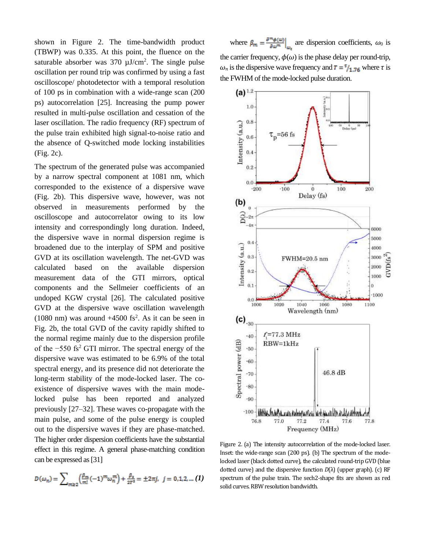shown in Figure 2. The time-bandwidth product (TBWP) was 0.335. At this point, the fluence on the saturable absorber was  $370 \mu J/cm^2$ . The single pulse oscillation per round trip was confirmed by using a fast oscilloscope/ photodetector with a temporal resolution of 100 ps in combination with a wide-range scan (200 ps) autocorrelation [25]. Increasing the pump power resulted in multi-pulse oscillation and cessation of the laser oscillation. The radio frequency (RF) spectrum of the pulse train exhibited high signal-to-noise ratio and the absence of Q-switched mode locking instabilities (Fig. 2c).

The spectrum of the generated pulse was accompanied by a narrow spectral component at 1081 nm, which corresponded to the existence of a dispersive wave (Fig. 2b). This dispersive wave, however, was not observed in measurements performed by the oscilloscope and autocorrelator owing to its low intensity and correspondingly long duration. Indeed, the dispersive wave in normal dispersion regime is broadened due to the interplay of SPM and positive GVD at its oscillation wavelength. The net-GVD was calculated based on the available dispersion measurement data of the GTI mirrors, optical components and the Sellmeier coefficients of an undoped KGW crystal [26]. The calculated positive GVD at the dispersive wave oscillation wavelength  $(1080 \text{ nm})$  was around  $+4500 \text{ fs}^2$ . As it can be seen in Fig. 2b, the total GVD of the cavity rapidly shifted to the normal regime mainly due to the dispersion profile of the −550 fs<sup>2</sup> GTI mirror. The spectral energy of the dispersive wave was estimated to be 6.9% of the total spectral energy, and its presence did not deteriorate the long-term stability of the mode-locked laser. The coexistence of dispersive waves with the main modelocked pulse has been reported and analyzed previously [27–32]. These waves co-propagate with the main pulse, and some of the pulse energy is coupled out to the dispersive waves if they are phase-matched. The higher order dispersion coefficients have the substantial effect in this regime. A general phase-matching condition can be expressed as [31]

$$
D(\omega_n) = \sum_{m \ge 2} \left( \frac{\beta_m}{m!} (-1)^m \omega_n^m \right) + \frac{\beta_2}{2T^2} = \pm 2\pi j, \ \ j = 0, 1, 2, \dots (1)
$$

where  $\beta_m = \frac{\partial^m \phi(\omega)}{\partial \omega^m}$  are dispersion coefficients,  $\omega_0$  is the carrier frequency,  $\phi(\omega)$  is the phase delay per round-trip,  $\omega_n$  is the dispersive wave frequency and  $\tau = \frac{\tau}{1.76}$  where  $\tau$  is the FWHM of the mode-locked pulse duration.



Figure 2. (a) The intensity autocorrelation of the mode-locked laser. Inset: the wide-range scan (200 ps). (b) The spectrum of the modelocked laser (black dotted curve), the calculated round-trip GVD (blue dotted curve) and the dispersive function *D*(λ) (upper graph). (c) RF spectrum of the pulse train. The sech2-shape fits are shown as red solid curves. RBW resolution bandwidth.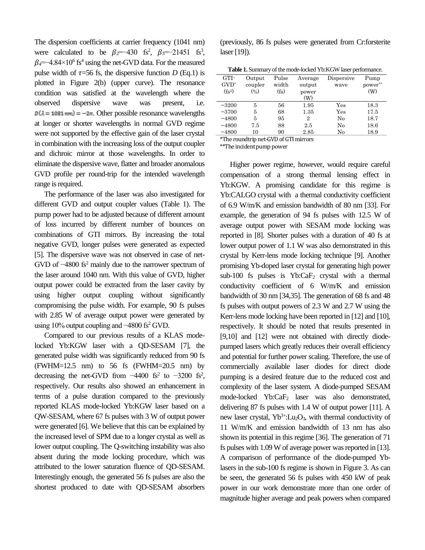The dispersion coefficients at carrier frequency (1041 nm) were calculated to be  $\beta_2$ =-430 fs<sup>2</sup>,  $\beta_3$ =-21451 fs<sup>3</sup>,  $\beta$ <sub>4</sub>=−4.84×10<sup>6</sup> fs<sup>4</sup> using the net-GVD data. For the measured pulse width of  $\tau = 56$  fs, the dispersive function *D* (Eq.1) is plotted in Figure 2(b) (upper curve). The resonance condition was satisfied at the wavelength where the observed dispersive wave was present, i.e.  $D(\lambda = 1081 \text{ nm}) = -2\pi$ . Other possible resonance wavelengths at longer or shorter wavelengths in normal GVD regime were not supported by the effective gain of the laser crystal in combination with the increasing loss of the output coupler and dichroic mirror at those wavelengths. In order to eliminate the dispersive wave, flatter and broader anomalous GVD profile per round-trip for the intended wavelength range is required.

The performance of the laser was also investigated for different GVD and output coupler values (Table 1). The pump power had to be adjusted because of different amount of loss incurred by different number of bounces on combinations of GTI mirrors. By increasing the total negative GVD, longer pulses were generated as expected [5]. The dispersive wave was not observed in case of net-GVD of −4800 fs<sup>2</sup> mainly due to the narrower spectrum of the laser around 1040 nm. With this value of GVD, higher output power could be extracted from the laser cavity by using higher output coupling without significantly compromising the pulse width. For example, 90 fs pulses with 2.85 W of average output power were generated by using 10% output coupling and −4800 fs<sup>2</sup> GVD.

Compared to our previous results of a KLAS modelocked Yb:KGW laser with a QD-SESAM [7], the generated pulse width was significantly reduced from 90 fs  $(FWHM=12.5$  nm) to 56 fs  $(FWHM=20.5$  nm) by decreasing the net-GVD from  $-4400$  fs<sup>2</sup> to  $-3200$  fs<sup>2</sup>, respectively. Our results also showed an enhancement in terms of a pulse duration compared to the previously reported KLAS mode-locked Yb:KGW laser based on a QW-SESAM, where 67 fs pulses with 3 W of output power were generated [6]. We believe that this can be explained by the increased level of SPM due to a longer crystal as well as lower output coupling. The Q-switching instability was also absent during the mode locking procedure, which was attributed to the lower saturation fluence of QD-SESAM. Interestingly enough, the generated 56 fs pulses are also the shortest produced to date with QD-SESAM absorbers

(previously, 86 fs pulses were generated from Cr:forsterite laser [19]).

| <b>Table 1.</b> Summary of the mode-locked Yb:KGW laser performance. |                              |                   |                |            |         |
|----------------------------------------------------------------------|------------------------------|-------------------|----------------|------------|---------|
| GTI-                                                                 | Output                       | Pulse             | Average        | Dispersive | Pump    |
| $GVD^*$                                                              | coupler                      | width             | output         | wave       | power** |
| (f <sub>S</sub> <sup>2</sup> )                                       | $\left( \frac{6}{2} \right)$ | (f <sub>S</sub> ) | power          |            | (W)     |
|                                                                      |                              |                   | (W)            |            |         |
| $-3200$                                                              | 5                            | 56                | 1.95           | Yes        | 18.3    |
| $-3700$                                                              | 5                            | 68                | 1.35           | Yes        | 17.5    |
| $-4800$                                                              | 5                            | 95                | $\overline{2}$ | No         | 18.7    |
| $-4800$                                                              | 7.5                          | 88                | 2.5            | $\rm No$   | 18.6    |
| $-4800$                                                              | 10                           | 90                | 2.85           | $\rm No$   | 18.9    |

\*The roundtrip net-GVD of GTI mirrors

\*\*The incident pump power

Higher power regime, however, would require careful compensation of a strong thermal lensing effect in Yb:KGW. A promising candidate for this regime is Yb:CALGO crystal with a thermal conductivity coefficient of 6.9 W/m/K and emission bandwidth of 80 nm [33]. For example, the generation of 94 fs pulses with 12.5 W of average output power with SESAM mode locking was reported in [8]. Shorter pulses with a duration of 40 fs at lower output power of 1.1 W was also demonstrated in this crystal by Kerr-lens mode locking technique [9]. Another promising Yb-doped laser crystal for generating high power sub-100 fs pulses is  $Yb:CaF_2$  crystal with a thermal conductivity coefficient of 6 W/m/K and emission bandwidth of 30 nm [34,35]. The generation of 68 fs and 48 fs pulses with output powers of 2.3 W and 2.7 W using the Kerr-lens mode locking have been reported in [12] and [10], respectively. It should be noted that results presented in [9,10] and [12] were not obtained with directly diodepumped lasers which greatly reduces their overall efficiency and potential for further power scaling. Therefore, the use of commercially available laser diodes for direct diode pumping is a desired feature due to the reduced cost and complexity of the laser system. A diode-pumped SESAM mode-locked Yb:CaF<sub>2</sub> laser was also demonstrated, delivering 87 fs pulses with 1.4 W of output power [11]. A new laser crystal,  $Yb^{3+}$ :Lu<sub>2</sub>O<sub>3</sub>, with thermal conductivity of 11 W/m/K and emission bandwidth of 13 nm has also shown its potential in this regime [36]. The generation of 71 fs pulses with 1.09 W of average power was reported in [13]. A comparison of performance of the diode-pumped Yblasers in the sub-100 fs regime is shown in Figure 3. As can be seen, the generated 56 fs pulses with 450 kW of peak power in our work demonstrate more than one order of magnitude higher average and peak powers when compared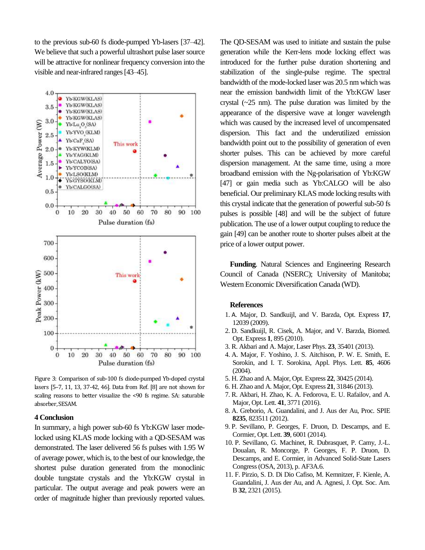to the previous sub-60 fs diode-pumped Yb-lasers [37–42]. We believe that such a powerful ultrashort pulse laser source will be attractive for nonlinear frequency conversion into the visible and near-infrared ranges [43–45].



Figure 3: Comparison of sub-100 fs diode-pumped Yb-doped crystal lasers [5–7, 11, 13, 37-42, 46]. Data from Ref. [8] are not shown for scaling reasons to better visualize the <90 fs regime. SA: saturable absorber, SESAM.

## **4 Conclusion**

In summary, a high power sub-60 fs Yb:KGW laser modelocked using KLAS mode locking with a QD-SESAM was demonstrated. The laser delivered 56 fs pulses with 1.95 W of average power, which is, to the best of our knowledge, the shortest pulse duration generated from the monoclinic double tungstate crystals and the Yb:KGW crystal in particular. The output average and peak powers were an order of magnitude higher than previously reported values.

The QD-SESAM was used to initiate and sustain the pulse generation while the Kerr-lens mode locking effect was introduced for the further pulse duration shortening and stabilization of the single-pulse regime. The spectral bandwidth of the mode-locked laser was 20.5 nm which was near the emission bandwidth limit of the Yb:KGW laser crystal (~25 nm). The pulse duration was limited by the appearance of the dispersive wave at longer wavelength which was caused by the increased level of uncompensated dispersion. This fact and the underutilized emission bandwidth point out to the possibility of generation of even shorter pulses. This can be achieved by more careful dispersion management. At the same time, using a more broadband emission with the Ng-polarisation of Yb:KGW [47] or gain media such as Yb:CALGO will be also beneficial. Our preliminary KLAS mode locking results with this crystal indicate that the generation of powerful sub-50 fs pulses is possible [48] and will be the subject of future publication. The use of a lower output coupling to reduce the gain [49] can be another route to shorter pulses albeit at the price of a lower output power.

**Funding**. Natural Sciences and Engineering Research Council of Canada (NSERC); University of Manitoba; Western Economic Diversification Canada (WD).

#### **References**

- 1. A. Major, D. Sandkuijl, and V. Barzda, Opt. Express **17**, 12039 (2009).
- 2. D. Sandkuijl, R. Cisek, A. Major, and V. Barzda, Biomed. Opt. Express **1**, 895 (2010).
- 3. R. Akbari and A. Major, Laser Phys. **23**, 35401 (2013).
- 4. A. Major, F. Yoshino, J. S. Aitchison, P. W. E. Smith, E. Sorokin, and I. T. Sorokina, Appl. Phys. Lett. **85**, 4606 (2004).
- 5. H. Zhao and A. Major, Opt. Express **22**, 30425 (2014).
- 6. H. Zhao and A. Major, Opt. Express **21**, 31846 (2013).
- 7. R. Akbari, H. Zhao, K. A. Fedorova, E. U. Rafailov, and A. Major, Opt. Lett. **41**, 3771 (2016).
- 8. A. Greborio, A. Guandalini, and J. Aus der Au, Proc. SPIE **8235**, 823511 (2012).
- 9. P. Sevillano, P. Georges, F. Druon, D. Descamps, and E. Cormier, Opt. Lett. **39**, 6001 (2014).
- 10. P. Sevillano, G. Machinet, R. Dubrasquet, P. Camy, J.-L. Doualan, R. Moncorge, P. Georges, F. P. Druon, D. Descamps, and E. Cormier, in Advanced Solid-State Lasers Congress (OSA, 2013), p. AF3A.6.
- 11. F. Pirzio, S. D. Di Dio Cafiso, M. Kemnitzer, F. Kienle, A. Guandalini, J. Aus der Au, and A. Agnesi, J. Opt. Soc. Am. B **32**, 2321 (2015).